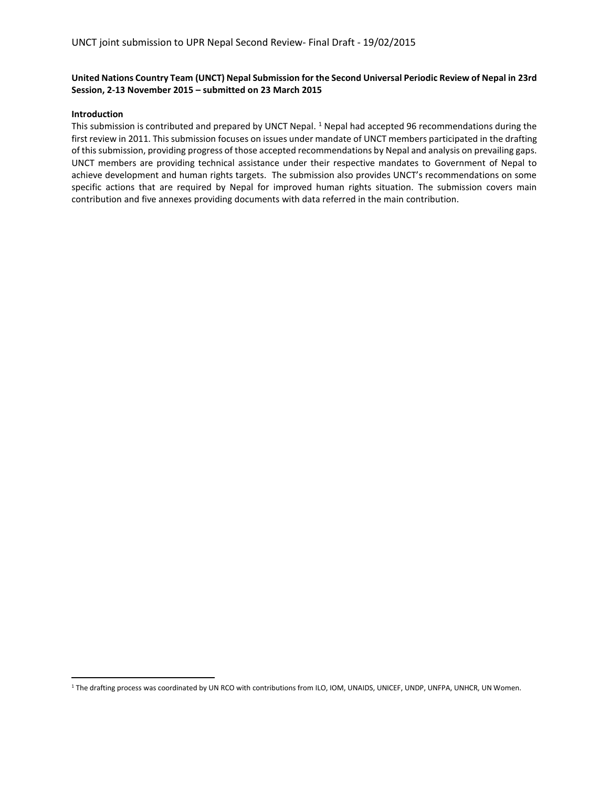## **United Nations Country Team (UNCT) Nepal Submission for the Second Universal Periodic Review of Nepal in 23rd Session, 2-13 November 2015 – submitted on 23 March 2015**

## **Introduction**

This submission is contributed and prepared by UNCT Nepal. <sup>1</sup> Nepal had accepted 96 recommendations during the first review in 2011. This submission focuses on issues under mandate of UNCT members participated in the drafting of this submission, providing progress of those accepted recommendations by Nepal and analysis on prevailing gaps. UNCT members are providing technical assistance under their respective mandates to Government of Nepal to achieve development and human rights targets. The submission also provides UNCT's recommendations on some specific actions that are required by Nepal for improved human rights situation. The submission covers main contribution and five annexes providing documents with data referred in the main contribution.

<sup>&</sup>lt;sup>1</sup> The drafting process was coordinated by UN RCO with contributions from ILO, IOM, UNAIDS, UNICEF, UNDP, UNFPA, UNHCR, UN Women.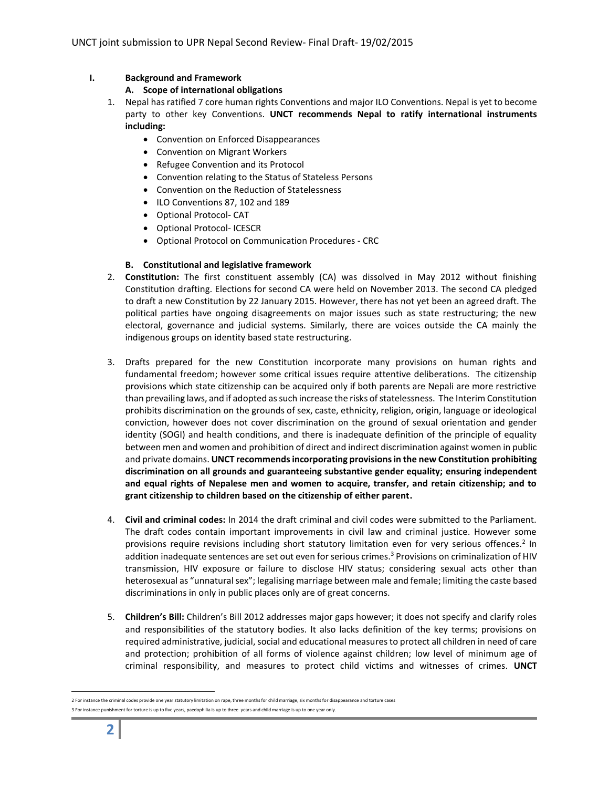# **I. Background and Framework**

# **A. Scope of international obligations**

- 1. Nepal has ratified 7 core human rights Conventions and major ILO Conventions. Nepal is yet to become party to other key Conventions. **UNCT recommends Nepal to ratify international instruments including:** 
	- Convention on Enforced Disappearances
	- Convention on Migrant Workers
	- Refugee Convention and its Protocol
	- Convention relating to the Status of Stateless Persons
	- Convention on the Reduction of Statelessness
	- ILO Conventions 87, 102 and 189
	- Optional Protocol- CAT
	- Optional Protocol- ICESCR
	- Optional Protocol on Communication Procedures CRC

# **B. Constitutional and legislative framework**

- 2. **Constitution:** The first constituent assembly (CA) was dissolved in May 2012 without finishing Constitution drafting. Elections for second CA were held on November 2013. The second CA pledged to draft a new Constitution by 22 January 2015. However, there has not yet been an agreed draft. The political parties have ongoing disagreements on major issues such as state restructuring; the new electoral, governance and judicial systems. Similarly, there are voices outside the CA mainly the indigenous groups on identity based state restructuring.
- 3. Drafts prepared for the new Constitution incorporate many provisions on human rights and fundamental freedom; however some critical issues require attentive deliberations. The citizenship provisions which state citizenship can be acquired only if both parents are Nepali are more restrictive than prevailing laws, and if adopted as such increase the risks of statelessness. The Interim Constitution prohibits discrimination on the grounds of sex, caste, ethnicity, religion, origin, language or ideological conviction, however does not cover discrimination on the ground of sexual orientation and gender identity (SOGI) and health conditions, and there is inadequate definition of the principle of equality between men and women and prohibition of direct and indirect discrimination against women in public and private domains. **UNCT recommends incorporating provisions in the new Constitution prohibiting discrimination on all grounds and guaranteeing substantive gender equality; ensuring independent and equal rights of Nepalese men and women to acquire, transfer, and retain citizenship; and to grant citizenship to children based on the citizenship of either parent.**
- 4. **Civil and criminal codes:** In 2014 the draft criminal and civil codes were submitted to the Parliament. The draft codes contain important improvements in civil law and criminal justice. However some provisions require revisions including short statutory limitation even for very serious offences.<sup>2</sup> In addition inadequate sentences are set out even for serious crimes.<sup>3</sup> Provisions on criminalization of HIV transmission, HIV exposure or failure to disclose HIV status; considering sexual acts other than heterosexual as "unnatural sex"; legalising marriage between male and female; limiting the caste based discriminations in only in public places only are of great concerns.
- 5. **Children's Bill:** Children's Bill 2012 addresses major gaps however; it does not specify and clarify roles and responsibilities of the statutory bodies. It also lacks definition of the key terms; provisions on required administrative, judicial, social and educational measures to protect all children in need of care and protection; prohibition of all forms of violence against children; low level of minimum age of criminal responsibility, and measures to protect child victims and witnesses of crimes. **UNCT**

 <sup>2</sup> For instance the criminal codes provide one year statutory limitation on rape, three months for child marriage, six months for disappearance and torture cases 3 For instance punishment for torture is up to five years, paedophilia is up to three years and child marriage is up to one year only.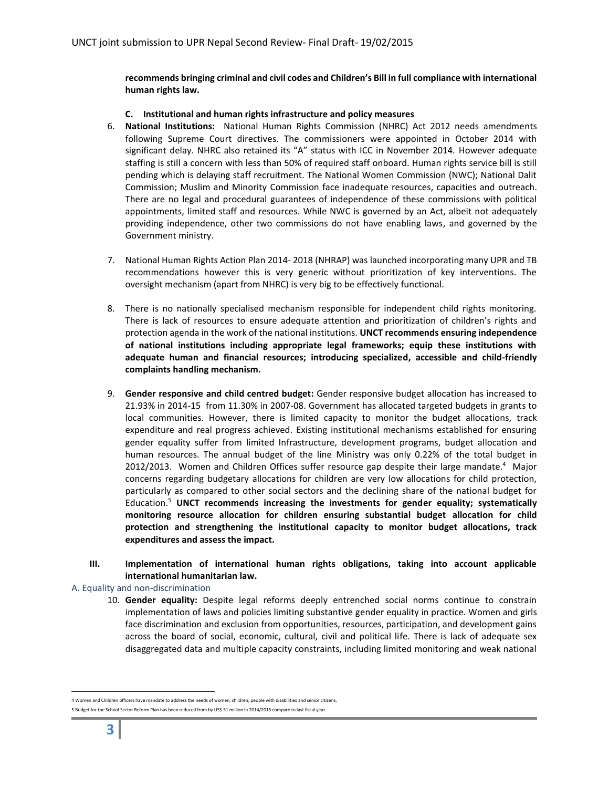**recommends bringing criminal and civil codes and Children's Bill in full compliance with international human rights law.** 

## **C. Institutional and human rights infrastructure and policy measures**

- 6. **National Institutions:** National Human Rights Commission (NHRC) Act 2012 needs amendments following Supreme Court directives. The commissioners were appointed in October 2014 with significant delay. NHRC also retained its "A" status with ICC in November 2014. However adequate staffing is still a concern with less than 50% of required staff onboard. Human rights service bill is still pending which is delaying staff recruitment. The National Women Commission (NWC); National Dalit Commission; Muslim and Minority Commission face inadequate resources, capacities and outreach. There are no legal and procedural guarantees of independence of these commissions with political appointments, limited staff and resources. While NWC is governed by an Act, albeit not adequately providing independence, other two commissions do not have enabling laws, and governed by the Government ministry.
- 7. National Human Rights Action Plan 2014- 2018 (NHRAP) was launched incorporating many UPR and TB recommendations however this is very generic without prioritization of key interventions. The oversight mechanism (apart from NHRC) is very big to be effectively functional.
- 8. There is no nationally specialised mechanism responsible for independent child rights monitoring. There is lack of resources to ensure adequate attention and prioritization of children's rights and protection agenda in the work of the national institutions. **UNCT recommends ensuring independence of national institutions including appropriate legal frameworks; equip these institutions with adequate human and financial resources; introducing specialized, accessible and child-friendly complaints handling mechanism.**
- 9. **Gender responsive and child centred budget:** Gender responsive budget allocation has increased to 21.93% in 2014-15 from 11.30% in 2007-08. Government has allocated targeted budgets in grants to local communities. However, there is limited capacity to monitor the budget allocations, track expenditure and real progress achieved. Existing institutional mechanisms established for ensuring gender equality suffer from limited Infrastructure, development programs, budget allocation and human resources. The annual budget of the line Ministry was only 0.22% of the total budget in 2012/2013. Women and Children Offices suffer resource gap despite their large mandate.<sup>4</sup> Major concerns regarding budgetary allocations for children are very low allocations for child protection, particularly as compared to other social sectors and the declining share of the national budget for Education.5 **UNCT recommends increasing the investments for gender equality; systematically monitoring resource allocation for children ensuring substantial budget allocation for child protection and strengthening the institutional capacity to monitor budget allocations, track expenditures and assess the impact.**
- **III. Implementation of international human rights obligations, taking into account applicable international humanitarian law.**
- A. Equality and non-discrimination
	- 10. **Gender equality:** Despite legal reforms deeply entrenched social norms continue to constrain implementation of laws and policies limiting substantive gender equality in practice. Women and girls face discrimination and exclusion from opportunities, resources, participation, and development gains across the board of social, economic, cultural, civil and political life. There is lack of adequate sex disaggregated data and multiple capacity constraints, including limited monitoring and weak national

 <sup>4</sup> Women and Children officers have mandate to address the needs of women, children, people with disabilities and senior citizens.

<sup>5</sup> Budget for the School Sector Reform Plan has been reduced from by US\$ 51 million in 2014/2015 compare to last fiscal year.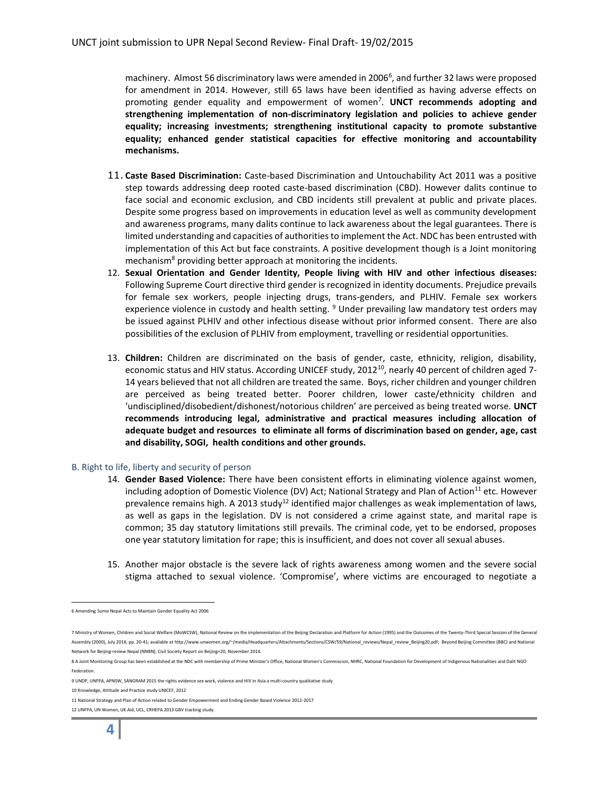machinery. Almost 56 discriminatory laws were amended in 2006<sup>6</sup>, and further 32 laws were proposed for amendment in 2014. However, still 65 laws have been identified as having adverse effects on promoting gender equality and empowerment of women7 . **UNCT recommends adopting and strengthening implementation of non-discriminatory legislation and policies to achieve gender equality; increasing investments; strengthening institutional capacity to promote substantive equality; enhanced gender statistical capacities for effective monitoring and accountability mechanisms.**

- 11. **Caste Based Discrimination:** Caste-based Discrimination and Untouchability Act 2011 was a positive step towards addressing deep rooted caste-based discrimination (CBD). However dalits continue to face social and economic exclusion, and CBD incidents still prevalent at public and private places. Despite some progress based on improvements in education level as well as community development and awareness programs, many dalits continue to lack awareness about the legal guarantees. There is limited understanding and capacities of authorities to implement the Act. NDC has been entrusted with implementation of this Act but face constraints. A positive development though is a Joint monitoring mechanism<sup>8</sup> providing better approach at monitoring the incidents.
- 12. **Sexual Orientation and Gender Identity, People living with HIV and other infectious diseases:** Following Supreme Court directive third gender is recognized in identity documents. Prejudice prevails for female sex workers, people injecting drugs, trans-genders, and PLHIV. Female sex workers experience violence in custody and health setting. <sup>9</sup> Under prevailing law mandatory test orders may be issued against PLHIV and other infectious disease without prior informed consent. There are also possibilities of the exclusion of PLHIV from employment, travelling or residential opportunities.
- 13. **Children:** Children are discriminated on the basis of gender, caste, ethnicity, religion, disability, economic status and HIV status. According UNICEF study, 2012<sup>10</sup>, nearly 40 percent of children aged 7-14 years believed that not all children are treated the same. Boys, richer children and younger children are perceived as being treated better. Poorer children, lower caste/ethnicity children and 'undisciplined/disobedient/dishonest/notorious children' are perceived as being treated worse. **UNCT recommends introducing legal, administrative and practical measures including allocation of adequate budget and resources to eliminate all forms of discrimination based on gender, age, cast and disability, SOGI, health conditions and other grounds.**

## B. Right to life, liberty and security of person

- 14. **Gender Based Violence:** There have been consistent efforts in eliminating violence against women, including adoption of Domestic Violence (DV) Act; National Strategy and Plan of Action<sup>11</sup> etc. However prevalence remains high. A 2013 study<sup>12</sup> identified major challenges as weak implementation of laws, as well as gaps in the legislation. DV is not considered a crime against state, and marital rape is common; 35 day statutory limitations still prevails. The criminal code, yet to be endorsed, proposes one year statutory limitation for rape; this is insufficient, and does not cover all sexual abuses.
- 15. Another major obstacle is the severe lack of rights awareness among women and the severe social stigma attached to sexual violence. 'Compromise', where victims are encouraged to negotiate a

 <sup>6</sup> Amending Some Nepal Acts to Maintain Gender Equality Act 2006

<sup>7</sup> Ministry of Women, Children and Social Welfare (MoWCSW), National Review on the implementation of the Beijing Declaration and Platform for Action (1995) and the Outcomes of the Twenty-Third Special Session of the General Assembly (2000), July 2014, pp. 20-41; available at http://www.unwomen.org/~/media/Headquarters/Attachments/Sections/CSW/59/National\_reviews/Nepal\_review\_Beijing20.pdf; Beyond Beijing Committee (BBC) and National Network for Beijing-review Nepal (NNBN), Civil Society Report on Beijing+20, November 2014.

<sup>8</sup> A Joint Monitoring Group has been established at the NDC with membership of Prime Minister's Office, National Women's Commission, NHRC, National Foundation for Development of Indigenous Nationalities and Dalit NGO Federation.

<sup>9</sup> UNDP, UNFPA, APNSW, SANGRAM 2015 the rights evidence sex work, violence and HIV in Asia a multi-country qualitative study

<sup>10</sup> Knowledge, Attitude and Practice study UNICEF, 2012

<sup>11</sup> National Strategy and Plan of Action related to Gender Empowerment and Ending Gender Based Violence 2012-2017

<sup>12</sup> UNFPA, UN Women, UK Aid, UCL, CRHEPA 2013 GBV tracking study.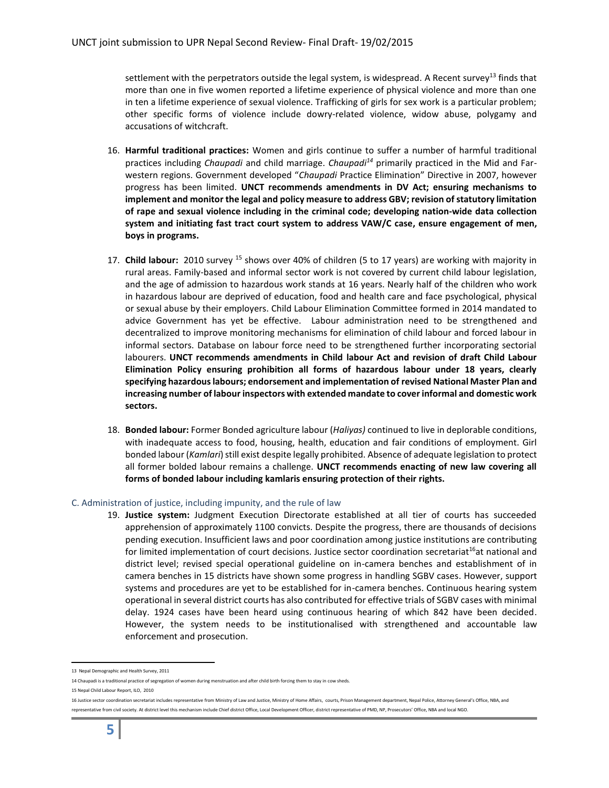settlement with the perpetrators outside the legal system, is widespread. A Recent survey<sup>13</sup> finds that more than one in five women reported a lifetime experience of physical violence and more than one in ten a lifetime experience of sexual violence. Trafficking of girls for sex work is a particular problem; other specific forms of violence include dowry-related violence, widow abuse, polygamy and accusations of witchcraft.

- 16. **Harmful traditional practices:** Women and girls continue to suffer a number of harmful traditional practices including *Chaupadi* and child marriage. *Chaupadi14* primarily practiced in the Mid and Farwestern regions. Government developed "*Chaupadi* Practice Elimination" Directive in 2007, however progress has been limited. **UNCT recommends amendments in DV Act; ensuring mechanisms to implement and monitor the legal and policy measure to address GBV; revision of statutory limitation of rape and sexual violence including in the criminal code; developing nation-wide data collection system and initiating fast tract court system to address VAW/C case, ensure engagement of men, boys in programs.**
- 17. **Child labour:** 2010 survey <sup>15</sup> shows over 40% of children (5 to 17 years) are working with majority in rural areas. Family-based and informal sector work is not covered by current child labour legislation, and the age of admission to hazardous work stands at 16 years. Nearly half of the children who work in hazardous labour are deprived of education, food and health care and face psychological, physical or sexual abuse by their employers. Child Labour Elimination Committee formed in 2014 mandated to advice Government has yet be effective. Labour administration need to be strengthened and decentralized to improve monitoring mechanisms for elimination of child labour and forced labour in informal sectors. Database on labour force need to be strengthened further incorporating sectorial labourers. **UNCT recommends amendments in Child labour Act and revision of draft Child Labour Elimination Policy ensuring prohibition all forms of hazardous labour under 18 years, clearly specifying hazardous labours; endorsement and implementation of revised National Master Plan and increasing number of labour inspectors with extended mandate to cover informal and domestic work sectors.**
- 18. **Bonded labour:** Former Bonded agriculture labour (*Haliyas)* continued to live in deplorable conditions, with inadequate access to food, housing, health, education and fair conditions of employment. Girl bonded labour (*Kamlari*) still exist despite legally prohibited. Absence of adequate legislation to protect all former bolded labour remains a challenge. **UNCT recommends enacting of new law covering all forms of bonded labour including kamlaris ensuring protection of their rights.**

## C. Administration of justice, including impunity, and the rule of law

19. **Justice system:** Judgment Execution Directorate established at all tier of courts has succeeded apprehension of approximately 1100 convicts. Despite the progress, there are thousands of decisions pending execution. Insufficient laws and poor coordination among justice institutions are contributing for limited implementation of court decisions. Justice sector coordination secretariat<sup>16</sup>at national and district level; revised special operational guideline on in-camera benches and establishment of in camera benches in 15 districts have shown some progress in handling SGBV cases. However, support systems and procedures are yet to be established for in-camera benches. Continuous hearing system operational in several district courts has also contributed for effective trials of SGBV cases with minimal delay. 1924 cases have been heard using continuous hearing of which 842 have been decided. However, the system needs to be institutionalised with strengthened and accountable law enforcement and prosecution.

 <sup>13</sup> Nepal Demographic and Health Survey, 2011

<sup>14</sup> Chaupadi is a traditional practice of segregation of women during menstruation and after child birth forcing them to stay in cow sheds.

<sup>15</sup> Nepal Child Labour Report, ILO, 2010

<sup>16</sup> Justice sector coordination secretariat includes representative from Ministry of Law and Justice, Ministry of Home Affairs, courts, Prison Management department, Nepal Police, Attorney General's Office, NBA, and representative from civil society. At district level this mechanism include Chief district Office, Local Development Officer, district representative of PMD, NP, Prosecutors' Office, NBA and local NGO.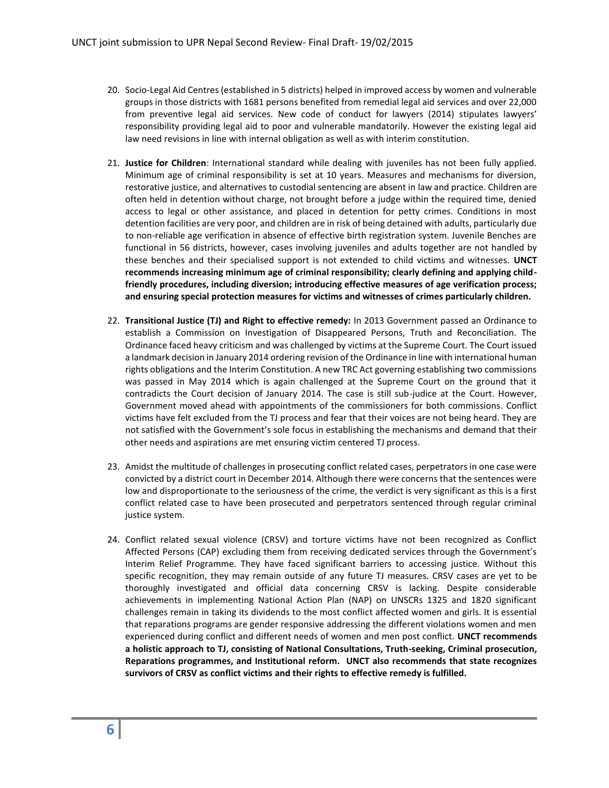- 20. Socio-Legal Aid Centres (established in 5 districts) helped in improved access by women and vulnerable groups in those districts with 1681 persons benefited from remedial legal aid services and over 22,000 from preventive legal aid services. New code of conduct for lawyers (2014) stipulates lawyers' responsibility providing legal aid to poor and vulnerable mandatorily. However the existing legal aid law need revisions in line with internal obligation as well as with interim constitution.
- 21. **Justice for Children**: International standard while dealing with juveniles has not been fully applied. Minimum age of criminal responsibility is set at 10 years. Measures and mechanisms for diversion, restorative justice, and alternatives to custodial sentencing are absent in law and practice. Children are often held in detention without charge, not brought before a judge within the required time, denied access to legal or other assistance, and placed in detention for petty crimes. Conditions in most detention facilities are very poor, and children are in risk of being detained with adults, particularly due to non-reliable age verification in absence of effective birth registration system. Juvenile Benches are functional in 56 districts, however, cases involving juveniles and adults together are not handled by these benches and their specialised support is not extended to child victims and witnesses. **UNCT recommends increasing minimum age of criminal responsibility; clearly defining and applying childfriendly procedures, including diversion; introducing effective measures of age verification process; and ensuring special protection measures for victims and witnesses of crimes particularly children.**
- 22. **Transitional Justice (TJ) and Right to effective remedy:** In 2013 Government passed an Ordinance to establish a Commission on Investigation of Disappeared Persons, Truth and Reconciliation. The Ordinance faced heavy criticism and was challenged by victims at the Supreme Court. The Court issued a landmark decision in January 2014 ordering revision of the Ordinance in line with international human rights obligations and the Interim Constitution. A new TRC Act governing establishing two commissions was passed in May 2014 which is again challenged at the Supreme Court on the ground that it contradicts the Court decision of January 2014. The case is still sub-judice at the Court. However, Government moved ahead with appointments of the commissioners for both commissions. Conflict victims have felt excluded from the TJ process and fear that their voices are not being heard. They are not satisfied with the Government's sole focus in establishing the mechanisms and demand that their other needs and aspirations are met ensuring victim centered TJ process.
- 23. Amidst the multitude of challenges in prosecuting conflict related cases, perpetrators in one case were convicted by a district court in December 2014. Although there were concerns that the sentences were low and disproportionate to the seriousness of the crime, the verdict is very significant as this is a first conflict related case to have been prosecuted and perpetrators sentenced through regular criminal justice system.
- 24. Conflict related sexual violence (CRSV) and torture victims have not been recognized as Conflict Affected Persons (CAP) excluding them from receiving dedicated services through the Government's Interim Relief Programme. They have faced significant barriers to accessing justice. Without this specific recognition, they may remain outside of any future TJ measures. CRSV cases are yet to be thoroughly investigated and official data concerning CRSV is lacking. Despite considerable achievements in implementing National Action Plan (NAP) on UNSCRs 1325 and 1820 significant challenges remain in taking its dividends to the most conflict affected women and girls. It is essential that reparations programs are gender responsive addressing the different violations women and men experienced during conflict and different needs of women and men post conflict. **UNCT recommends a holistic approach to TJ, consisting of National Consultations, Truth-seeking, Criminal prosecution, Reparations programmes, and Institutional reform. UNCT also recommends that state recognizes survivors of CRSV as conflict victims and their rights to effective remedy is fulfilled.**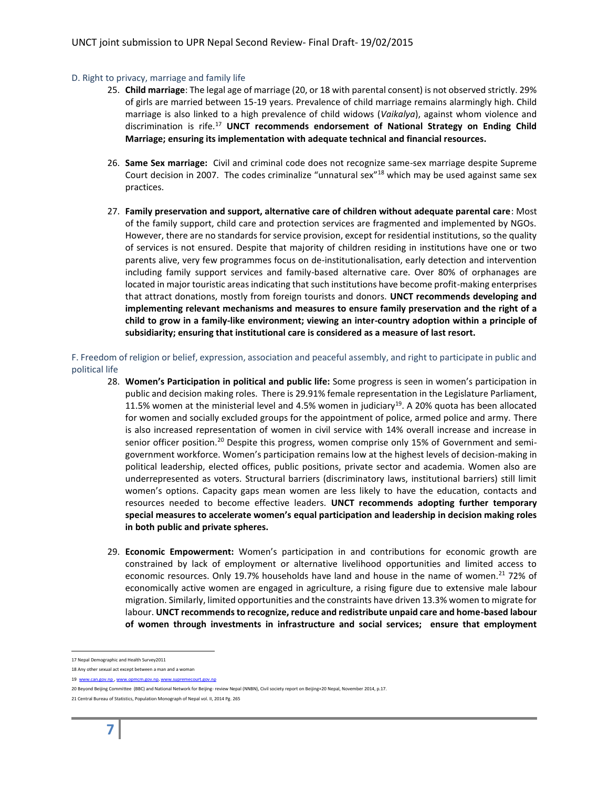#### D. Right to privacy, marriage and family life

- 25. **Child marriage**: The legal age of marriage (20, or 18 with parental consent) is not observed strictly. 29% of girls are married between 15-19 years. Prevalence of child marriage remains alarmingly high. Child marriage is also linked to a high prevalence of child widows (*Vaikalya*), against whom violence and discrimination is rife.17 **UNCT recommends endorsement of National Strategy on Ending Child Marriage; ensuring its implementation with adequate technical and financial resources.**
- 26. **Same Sex marriage:** Civil and criminal code does not recognize same-sex marriage despite Supreme Court decision in 2007. The codes criminalize "unnatural sex"<sup>18</sup> which may be used against same sex practices.
- 27. **Family preservation and support, alternative care of children without adequate parental care**: Most of the family support, child care and protection services are fragmented and implemented by NGOs. However, there are no standards for service provision, except for residential institutions, so the quality of services is not ensured. Despite that majority of children residing in institutions have one or two parents alive, very few programmes focus on de-institutionalisation, early detection and intervention including family support services and family-based alternative care. Over 80% of orphanages are located in major touristic areas indicating that such institutions have become profit-making enterprises that attract donations, mostly from foreign tourists and donors. **UNCT recommends developing and implementing relevant mechanisms and measures to ensure family preservation and the right of a child to grow in a family-like environment; viewing an inter-country adoption within a principle of subsidiarity; ensuring that institutional care is considered as a measure of last resort.**

F. Freedom of religion or belief, expression, association and peaceful assembly, and right to participate in public and political life

- 28. **Women's Participation in political and public life:** Some progress is seen in women's participation in public and decision making roles. There is 29.91% female representation in the Legislature Parliament, 11.5% women at the ministerial level and 4.5% women in judiciary<sup>19</sup>. A 20% quota has been allocated for women and socially excluded groups for the appointment of police, armed police and army. There is also increased representation of women in civil service with 14% overall increase and increase in senior officer position.<sup>20</sup> Despite this progress, women comprise only 15% of Government and semigovernment workforce. Women's participation remains low at the highest levels of decision-making in political leadership, elected offices, public positions, private sector and academia. Women also are underrepresented as voters. Structural barriers (discriminatory laws, institutional barriers) still limit women's options. Capacity gaps mean women are less likely to have the education, contacts and resources needed to become effective leaders. **UNCT recommends adopting further temporary special measures to accelerate women's equal participation and leadership in decision making roles in both public and private spheres.**
- 29. **Economic Empowerment:** Women's participation in and contributions for economic growth are constrained by lack of employment or alternative livelihood opportunities and limited access to economic resources. Only 19.7% households have land and house in the name of women.<sup>21</sup> 72% of economically active women are engaged in agriculture, a rising figure due to extensive male labour migration. Similarly, limited opportunities and the constraints have driven 13.3% women to migrate for labour. **UNCT recommends to recognize, reduce and redistribute unpaid care and home-based labour of women through investments in infrastructure and social services; ensure that employment**

 <sup>17</sup> Nepal Demographic and Health Survey2011

<sup>18</sup> Any other sexual act except between a man and a woman

<sup>19</sup> www.can.gov.np, www.opmcm.gov.np, www.supremecourt.gov.np

<sup>20</sup> Beyond Beijing Committee (BBC) and National Network for Beijing- review Nepal (NNBN), Civil society report on Beijing+20 Nepal, November 2014, p.17.

<sup>21</sup> Central Bureau of Statistics, Population Monograph of Nepal vol. II, 2014 Pg. 265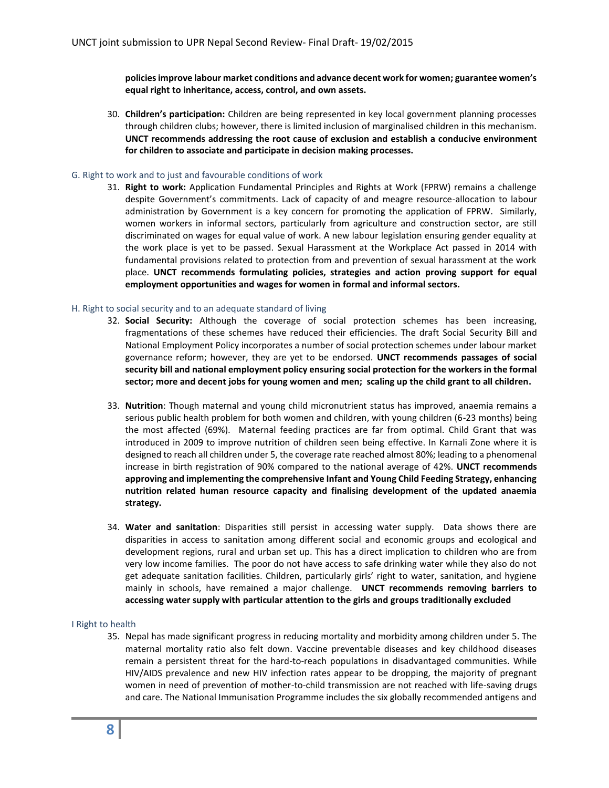**policies improve labour market conditions and advance decent work for women; guarantee women's equal right to inheritance, access, control, and own assets.** 

30. **Children's participation:** Children are being represented in key local government planning processes through children clubs; however, there is limited inclusion of marginalised children in this mechanism. **UNCT recommends addressing the root cause of exclusion and establish a conducive environment for children to associate and participate in decision making processes.**

## G. Right to work and to just and favourable conditions of work

31. **Right to work:** Application Fundamental Principles and Rights at Work (FPRW) remains a challenge despite Government's commitments. Lack of capacity of and meagre resource-allocation to labour administration by Government is a key concern for promoting the application of FPRW. Similarly, women workers in informal sectors, particularly from agriculture and construction sector, are still discriminated on wages for equal value of work. A new labour legislation ensuring gender equality at the work place is yet to be passed. Sexual Harassment at the Workplace Act passed in 2014 with fundamental provisions related to protection from and prevention of sexual harassment at the work place. **UNCT recommends formulating policies, strategies and action proving support for equal employment opportunities and wages for women in formal and informal sectors.** 

## H. Right to social security and to an adequate standard of living

- 32. **Social Security:** Although the coverage of social protection schemes has been increasing, fragmentations of these schemes have reduced their efficiencies. The draft Social Security Bill and National Employment Policy incorporates a number of social protection schemes under labour market governance reform; however, they are yet to be endorsed. **UNCT recommends passages of social security bill and national employment policy ensuring social protection for the workers in the formal sector; more and decent jobs for young women and men; scaling up the child grant to all children.**
- 33. **Nutrition**: Though maternal and young child micronutrient status has improved, anaemia remains a serious public health problem for both women and children, with young children (6-23 months) being the most affected (69%). Maternal feeding practices are far from optimal. Child Grant that was introduced in 2009 to improve nutrition of children seen being effective. In Karnali Zone where it is designed to reach all children under 5, the coverage rate reached almost 80%; leading to a phenomenal increase in birth registration of 90% compared to the national average of 42%. **UNCT recommends approving and implementing the comprehensive Infant and Young Child Feeding Strategy, enhancing nutrition related human resource capacity and finalising development of the updated anaemia strategy.**
- 34. **Water and sanitation**: Disparities still persist in accessing water supply. Data shows there are disparities in access to sanitation among different social and economic groups and ecological and development regions, rural and urban set up. This has a direct implication to children who are from very low income families. The poor do not have access to safe drinking water while they also do not get adequate sanitation facilities. Children, particularly girls' right to water, sanitation, and hygiene mainly in schools, have remained a major challenge. **UNCT recommends removing barriers to accessing water supply with particular attention to the girls and groups traditionally excluded**

## I Right to health

35. Nepal has made significant progress in reducing mortality and morbidity among children under 5. The maternal mortality ratio also felt down. Vaccine preventable diseases and key childhood diseases remain a persistent threat for the hard-to-reach populations in disadvantaged communities. While HIV/AIDS prevalence and new HIV infection rates appear to be dropping, the majority of pregnant women in need of prevention of mother-to-child transmission are not reached with life-saving drugs and care. The National Immunisation Programme includes the six globally recommended antigens and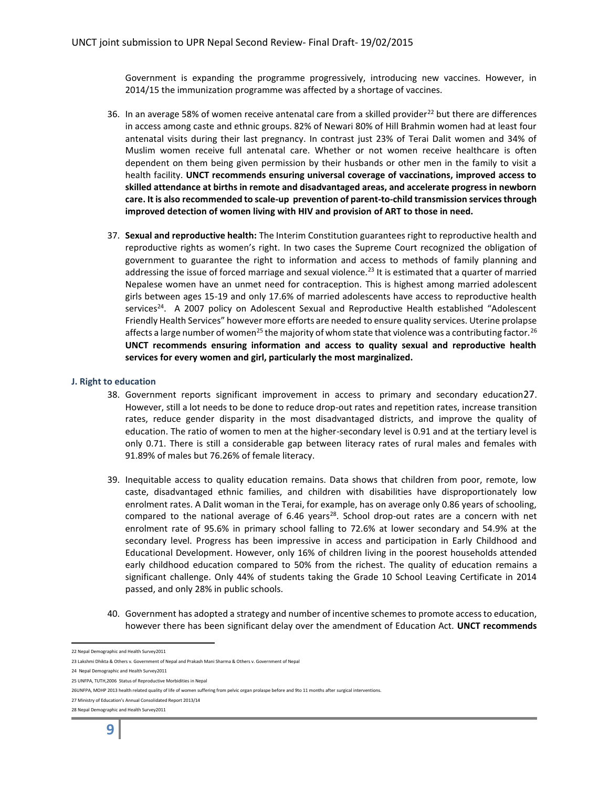Government is expanding the programme progressively, introducing new vaccines. However, in 2014/15 the immunization programme was affected by a shortage of vaccines.

- 36. In an average 58% of women receive antenatal care from a skilled provider<sup>22</sup> but there are differences in access among caste and ethnic groups. 82% of Newari 80% of Hill Brahmin women had at least four antenatal visits during their last pregnancy. In contrast just 23% of Terai Dalit women and 34% of Muslim women receive full antenatal care. Whether or not women receive healthcare is often dependent on them being given permission by their husbands or other men in the family to visit a health facility. **UNCT recommends ensuring universal coverage of vaccinations, improved access to skilled attendance at births in remote and disadvantaged areas, and accelerate progress in newborn care. It is also recommended to scale-up prevention of parent-to-child transmission services through improved detection of women living with HIV and provision of ART to those in need.**
- 37. **Sexual and reproductive health:** The Interim Constitution guarantees right to reproductive health and reproductive rights as women's right. In two cases the Supreme Court recognized the obligation of government to guarantee the right to information and access to methods of family planning and addressing the issue of forced marriage and sexual violence.<sup>23</sup> It is estimated that a quarter of married Nepalese women have an unmet need for contraception. This is highest among married adolescent girls between ages 15-19 and only 17.6% of married adolescents have access to reproductive health services<sup>24</sup>. A 2007 policy on Adolescent Sexual and Reproductive Health established "Adolescent Friendly Health Services" however more efforts are needed to ensure quality services. Uterine prolapse affects a large number of women<sup>25</sup> the majority of whom state that violence was a contributing factor.<sup>26</sup> **UNCT recommends ensuring information and access to quality sexual and reproductive health services for every women and girl, particularly the most marginalized.**

#### **J. Right to education**

- 38. Government reports significant improvement in access to primary and secondary education27. However, still a lot needs to be done to reduce drop-out rates and repetition rates, increase transition rates, reduce gender disparity in the most disadvantaged districts, and improve the quality of education. The ratio of women to men at the higher-secondary level is 0.91 and at the tertiary level is only 0.71. There is still a considerable gap between literacy rates of rural males and females with 91.89% of males but 76.26% of female literacy.
- 39. Inequitable access to quality education remains. Data shows that children from poor, remote, low caste, disadvantaged ethnic families, and children with disabilities have disproportionately low enrolment rates. A Dalit woman in the Terai, for example, has on average only 0.86 years of schooling, compared to the national average of  $6.46$  years<sup>28</sup>. School drop-out rates are a concern with net enrolment rate of 95.6% in primary school falling to 72.6% at lower secondary and 54.9% at the secondary level. Progress has been impressive in access and participation in Early Childhood and Educational Development. However, only 16% of children living in the poorest households attended early childhood education compared to 50% from the richest. The quality of education remains a significant challenge. Only 44% of students taking the Grade 10 School Leaving Certificate in 2014 passed, and only 28% in public schools.
- 40. Government has adopted a strategy and number of incentive schemes to promote access to education, however there has been significant delay over the amendment of Education Act. **UNCT recommends**

 <sup>22</sup> Nepal Demographic and Health Survey2011

<sup>23</sup> Lakshmi Dhikta & Others v. Government of Nepal and Prakash Mani Sharma & Others v. Government of Nepal

<sup>24</sup> Nepal Demographic and Health Survey2011

<sup>25</sup> UNFPA, TUTH,2006 Status of Reproductive Morbidities in Nepal

<sup>26</sup>UNFPA, MOHP 2013 health related quality of life of women suffering from pelvic organ prolaspe before and 9to 11 months after surgical interventions.

<sup>27</sup> Ministry of Education's Annual Consolidated Report 2013/14

<sup>28</sup> Nepal Demographic and Health Survey2011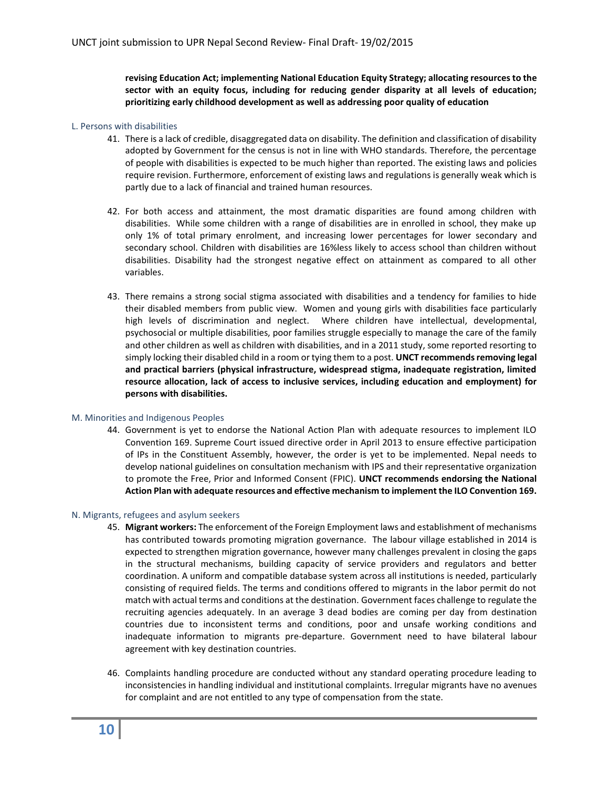**revising Education Act; implementing National Education Equity Strategy; allocating resources to the sector with an equity focus, including for reducing gender disparity at all levels of education; prioritizing early childhood development as well as addressing poor quality of education**

## L. Persons with disabilities

- 41. There is a lack of credible, disaggregated data on disability. The definition and classification of disability adopted by Government for the census is not in line with WHO standards. Therefore, the percentage of people with disabilities is expected to be much higher than reported. The existing laws and policies require revision. Furthermore, enforcement of existing laws and regulations is generally weak which is partly due to a lack of financial and trained human resources.
- 42. For both access and attainment, the most dramatic disparities are found among children with disabilities. While some children with a range of disabilities are in enrolled in school, they make up only 1% of total primary enrolment, and increasing lower percentages for lower secondary and secondary school. Children with disabilities are 16%less likely to access school than children without disabilities. Disability had the strongest negative effect on attainment as compared to all other variables.
- 43. There remains a strong social stigma associated with disabilities and a tendency for families to hide their disabled members from public view. Women and young girls with disabilities face particularly high levels of discrimination and neglect. Where children have intellectual, developmental, psychosocial or multiple disabilities, poor families struggle especially to manage the care of the family and other children as well as children with disabilities, and in a 2011 study, some reported resorting to simply locking their disabled child in a room or tying them to a post. **UNCT recommends removing legal and practical barriers (physical infrastructure, widespread stigma, inadequate registration, limited resource allocation, lack of access to inclusive services, including education and employment) for persons with disabilities.**

## M. Minorities and Indigenous Peoples

44. Government is yet to endorse the National Action Plan with adequate resources to implement ILO Convention 169. Supreme Court issued directive order in April 2013 to ensure effective participation of IPs in the Constituent Assembly, however, the order is yet to be implemented. Nepal needs to develop national guidelines on consultation mechanism with IPS and their representative organization to promote the Free, Prior and Informed Consent (FPIC). **UNCT recommends endorsing the National Action Plan with adequate resources and effective mechanism to implement the ILO Convention 169.**

## N. Migrants, refugees and asylum seekers

- 45. **Migrant workers:** The enforcement of the Foreign Employment laws and establishment of mechanisms has contributed towards promoting migration governance. The labour village established in 2014 is expected to strengthen migration governance, however many challenges prevalent in closing the gaps in the structural mechanisms, building capacity of service providers and regulators and better coordination. A uniform and compatible database system across all institutions is needed, particularly consisting of required fields. The terms and conditions offered to migrants in the labor permit do not match with actual terms and conditions at the destination. Government faces challenge to regulate the recruiting agencies adequately. In an average 3 dead bodies are coming per day from destination countries due to inconsistent terms and conditions, poor and unsafe working conditions and inadequate information to migrants pre-departure. Government need to have bilateral labour agreement with key destination countries.
- 46. Complaints handling procedure are conducted without any standard operating procedure leading to inconsistencies in handling individual and institutional complaints. Irregular migrants have no avenues for complaint and are not entitled to any type of compensation from the state.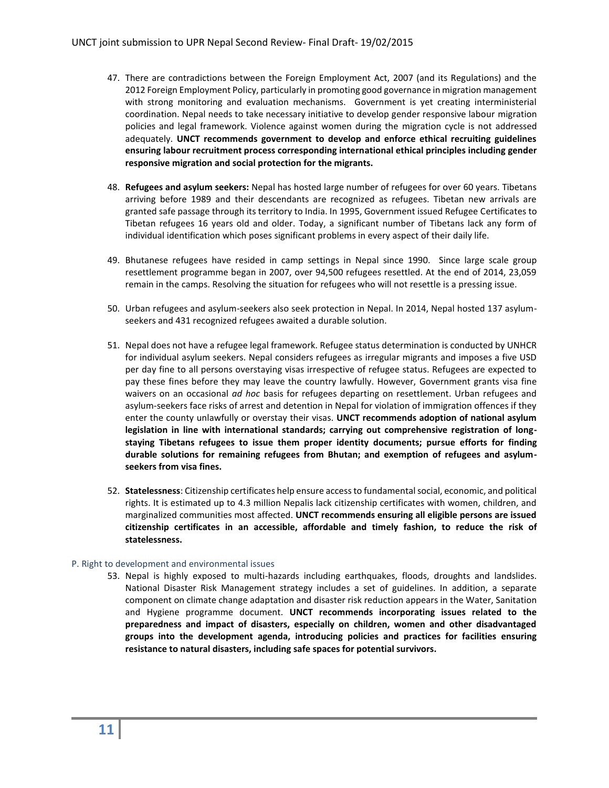- 47. There are contradictions between the Foreign Employment Act, 2007 (and its Regulations) and the 2012 Foreign Employment Policy, particularly in promoting good governance in migration management with strong monitoring and evaluation mechanisms. Government is yet creating interministerial coordination. Nepal needs to take necessary initiative to develop gender responsive labour migration policies and legal framework. Violence against women during the migration cycle is not addressed adequately. **UNCT recommends government to develop and enforce ethical recruiting guidelines ensuring labour recruitment process corresponding international ethical principles including gender responsive migration and social protection for the migrants.**
- 48. **Refugees and asylum seekers:** Nepal has hosted large number of refugees for over 60 years. Tibetans arriving before 1989 and their descendants are recognized as refugees. Tibetan new arrivals are granted safe passage through its territory to India. In 1995, Government issued Refugee Certificates to Tibetan refugees 16 years old and older. Today, a significant number of Tibetans lack any form of individual identification which poses significant problems in every aspect of their daily life.
- 49. Bhutanese refugees have resided in camp settings in Nepal since 1990. Since large scale group resettlement programme began in 2007, over 94,500 refugees resettled. At the end of 2014, 23,059 remain in the camps. Resolving the situation for refugees who will not resettle is a pressing issue.
- 50. Urban refugees and asylum-seekers also seek protection in Nepal. In 2014, Nepal hosted 137 asylumseekers and 431 recognized refugees awaited a durable solution.
- 51. Nepal does not have a refugee legal framework. Refugee status determination is conducted by UNHCR for individual asylum seekers. Nepal considers refugees as irregular migrants and imposes a five USD per day fine to all persons overstaying visas irrespective of refugee status. Refugees are expected to pay these fines before they may leave the country lawfully. However, Government grants visa fine waivers on an occasional *ad hoc* basis for refugees departing on resettlement. Urban refugees and asylum-seekers face risks of arrest and detention in Nepal for violation of immigration offences if they enter the county unlawfully or overstay their visas. **UNCT recommends adoption of national asylum legislation in line with international standards; carrying out comprehensive registration of longstaying Tibetans refugees to issue them proper identity documents; pursue efforts for finding durable solutions for remaining refugees from Bhutan; and exemption of refugees and asylumseekers from visa fines.**
- 52. **Statelessness**: Citizenship certificates help ensure access to fundamental social, economic, and political rights. It is estimated up to 4.3 million Nepalis lack citizenship certificates with women, children, and marginalized communities most affected. **UNCT recommends ensuring all eligible persons are issued citizenship certificates in an accessible, affordable and timely fashion, to reduce the risk of statelessness.**

## P. Right to development and environmental issues

53. Nepal is highly exposed to multi-hazards including earthquakes, floods, droughts and landslides. National Disaster Risk Management strategy includes a set of guidelines. In addition, a separate component on climate change adaptation and disaster risk reduction appears in the Water, Sanitation and Hygiene programme document. **UNCT recommends incorporating issues related to the preparedness and impact of disasters, especially on children, women and other disadvantaged groups into the development agenda, introducing policies and practices for facilities ensuring resistance to natural disasters, including safe spaces for potential survivors.**